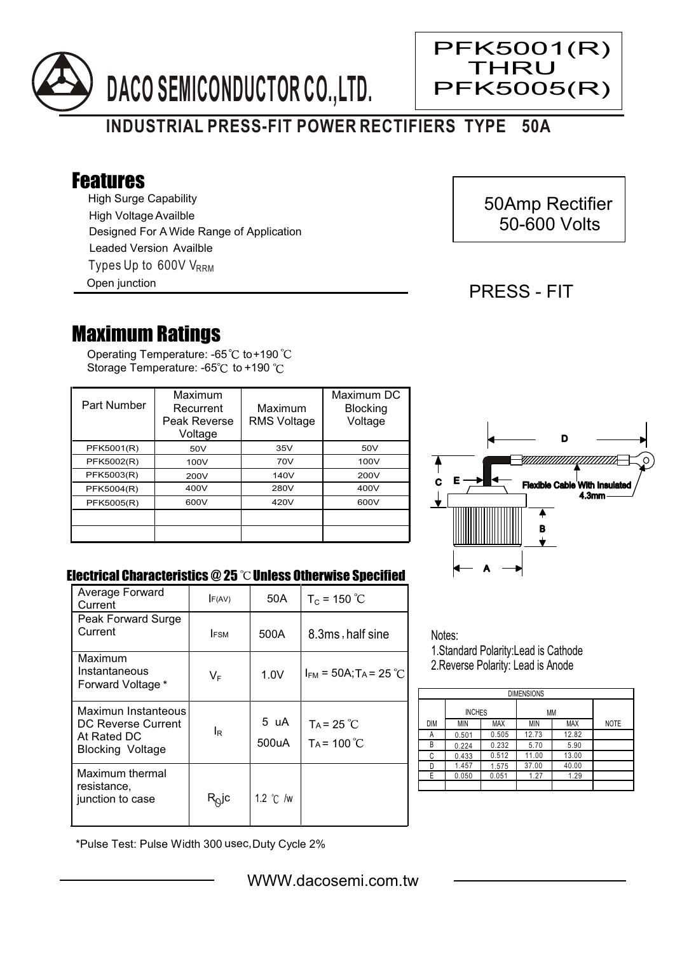

# **INDUSTRIAL PRESS-FIT POWER RECTIFIERS TYPE 50A**

## Features

High Surge Capability Types Up to  $600V$  V<sub>RRM</sub> High Voltage Availble Designed For A Wide Range of Application Leaded Version Availble

Open junction

## 50Amp Rectifier 50-600 Volts

### PRESS - FIT

PFK5001(R) THRU

PFK5005(R)

Ξ

## Maximum Ratings

Operating Temperature: -65 $\degree$ C to+190 Storage Temperature: -65°C to +190 °C

| Part Number | Maximum<br>Recurrent<br>Peak Reverse<br>Voltage | Maximum<br><b>RMS Voltage</b> | Maximum DC<br><b>Blocking</b><br>Voltage |
|-------------|-------------------------------------------------|-------------------------------|------------------------------------------|
| PFK5001(R)  | 50V                                             | 35V                           | 50V                                      |
| PFK5002(R)  | 100V                                            | 70V                           | 100V                                     |
| PFK5003(R)  | 200V                                            | 140V                          | 200V                                     |
| PFK5004(R)  | 400V                                            | 280V                          | 400V                                     |
| PFK5005(R)  | 600V                                            | 420V                          | 600V                                     |
|             |                                                 |                               |                                          |
|             |                                                 |                               |                                          |



#### Electrical Characteristics  $@25$   $^{\circ}\text{C}$  Unless Otherwise Specified

| Average Forward<br>Current                                                          | F(AV)             | 50A                | $T_c = 150 °C$                         |
|-------------------------------------------------------------------------------------|-------------------|--------------------|----------------------------------------|
| Peak Forward Surge<br>Current                                                       | <b>FSM</b>        | 500A               | 8.3ms, half sine                       |
| Maximum<br>Instantaneous<br>Forward Voltage *                                       | $V_F$             | 1.0V               | $I_{FM}$ = 50A; T <sub>A</sub> = 25 °C |
| Maximun Instanteous<br>DC Reverse Current<br>At Rated DC<br><b>Blocking Voltage</b> | ΙR                | 5 uA<br>500uA      | $TA = 25^{\circ}C$<br>$Ta = 100 °C$    |
| Maximum thermal<br>resistance,<br>junction to case                                  | R <sub>∆</sub> jc | 1.2 $\degree$ C /w |                                        |

Notes: 1.Standard Polarity:Lead is Cathode

2.Reverse Polarity: Lead is Anode

| <b>DIMENSIONS</b> |               |       |       |            |             |  |  |  |
|-------------------|---------------|-------|-------|------------|-------------|--|--|--|
|                   | <b>INCHES</b> |       | ΜМ    |            |             |  |  |  |
| DIM               | MIN           | MAX   | MIN   | <b>MAX</b> | <b>NOTE</b> |  |  |  |
| А                 | 0.501         | 0.505 | 12.73 | 12.82      |             |  |  |  |
| В                 | 0.224         | 0.232 | 5.70  | 5.90       |             |  |  |  |
| C                 | 0.433         | 0.512 | 11.00 | 13.00      |             |  |  |  |
|                   | 1.457         | 1.575 | 37.00 | 40.00      |             |  |  |  |
| F                 | 0.050         | 0.051 | 1.27  | 1.29       |             |  |  |  |
|                   |               |       |       |            |             |  |  |  |

\*Pulse Test: Pulse Width 300 usec,Duty Cycle 2%